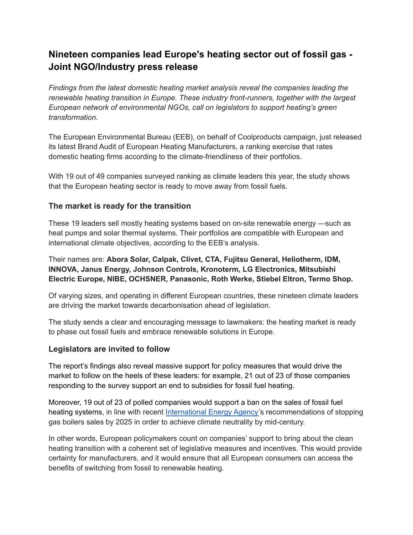# **Nineteen companies lead Europe's heating sector out of fossil gas - Joint NGO/Industry press release**

*Findings from the latest domestic heating market analysis reveal the companies leading the renewable heating transition in Europe. These industry front-runners, together with the largest European network of environmental NGOs, call on legislators to support heating's green transformation.*

The European Environmental Bureau (EEB), on behalf of Coolproducts campaign, just released its latest Brand Audit of European Heating Manufacturers, a ranking exercise that rates domestic heating firms according to the climate-friendliness of their portfolios.

With 19 out of 49 companies surveyed ranking as climate leaders this year, the study shows that the European heating sector is ready to move away from fossil fuels.

# **The market is ready for the transition**

These 19 leaders sell mostly heating systems based on on-site renewable energy —such as heat pumps and solar thermal systems. Their portfolios are compatible with European and international climate objectives, according to the EEB's analysis.

Their names are: **Abora Solar, Calpak, Clivet, CTA, Fujitsu General, Heliotherm, IDM, INNOVA, Janus Energy, Johnson Controls, Kronoterm, LG Electronics, Mitsubishi Electric Europe, NIBE, OCHSNER, Panasonic, Roth Werke, Stiebel Eltron, Termo Shop.**

Of varying sizes, and operating in different European countries, these nineteen climate leaders are driving the market towards decarbonisation ahead of legislation.

The study sends a clear and encouraging message to lawmakers: the heating market is ready to phase out fossil fuels and embrace renewable solutions in Europe.

### **Legislators are invited to follow**

The report's findings also reveal massive support for policy measures that would drive the market to follow on the heels of these leaders: for example, 21 out of 23 of those companies responding to the survey support an end to subsidies for fossil fuel heating.

Moreover, 19 out of 23 of polled companies would support a ban on the sales of fossil fuel heating systems, in line with recent [International](https://www.iea.org/reports/net-zero-by-2050) Energy Agency's recommendations of stopping gas boilers sales by 2025 in order to achieve climate neutrality by mid-century.

In other words, European policymakers count on companies' support to bring about the clean heating transition with a coherent set of legislative measures and incentives. This would provide certainty for manufacturers, and it would ensure that all European consumers can access the benefits of switching from fossil to renewable heating.